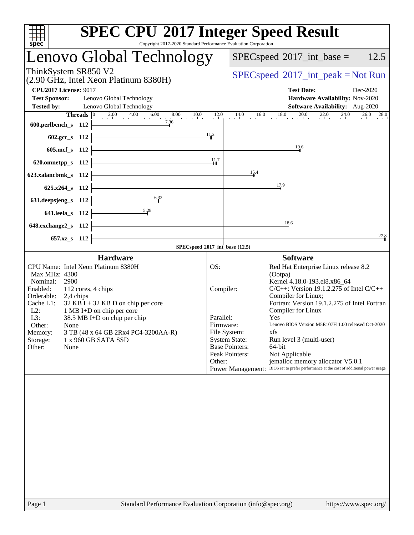| spec<br>Copyright 2017-2020 Standard Performance Evaluation Corporation                                                                                                                                                                                                                                                                                                                                              | <b>SPEC CPU®2017 Integer Speed Result</b>                                                                                                                                                                                                                                                                                                                                                                                                                                                                                                                                                                                                             |
|----------------------------------------------------------------------------------------------------------------------------------------------------------------------------------------------------------------------------------------------------------------------------------------------------------------------------------------------------------------------------------------------------------------------|-------------------------------------------------------------------------------------------------------------------------------------------------------------------------------------------------------------------------------------------------------------------------------------------------------------------------------------------------------------------------------------------------------------------------------------------------------------------------------------------------------------------------------------------------------------------------------------------------------------------------------------------------------|
| Lenovo Global Technology                                                                                                                                                                                                                                                                                                                                                                                             | 12.5<br>$SPEC speed^{\circ}2017\_int\_base =$                                                                                                                                                                                                                                                                                                                                                                                                                                                                                                                                                                                                         |
| ThinkSystem SR850 V2<br>(2.90 GHz, Intel Xeon Platinum 8380H)                                                                                                                                                                                                                                                                                                                                                        | $SPEC speed^{\circ}2017\_int\_peak = Not Run$                                                                                                                                                                                                                                                                                                                                                                                                                                                                                                                                                                                                         |
| <b>CPU2017 License: 9017</b><br><b>Test Sponsor:</b><br>Lenovo Global Technology<br><b>Tested by:</b><br>Lenovo Global Technology                                                                                                                                                                                                                                                                                    | <b>Test Date:</b><br>Dec-2020<br>Hardware Availability: Nov-2020<br>Software Availability: Aug-2020                                                                                                                                                                                                                                                                                                                                                                                                                                                                                                                                                   |
| <b>Threads</b> $\begin{bmatrix} 0 & 2.00 & 4.00 & 6.00 & 8.00 & 10.0 & 12.0 \\ 1 & 0 & 0 & 0 & 0 & 0 \\ 0 & 0 & 0 & 0 & 0 & 0 \\ 0 & 0 & 0 & 0 & 0 & 0 \\ 0 & 0 & 0 & 0 & 0 & 0 \\ 0 & 0 & 0 & 0 & 0 & 0 \\ 0 & 0 & 0 & 0 & 0 & 0 \\ 0 & 0 & 0 & 0 & 0 & 0 \\ 0 & 0 & 0 & 0 & 0 & 0 \\ 0 & 0 & 0 & 0 & 0 & 0 & 0 \\$<br>7.36<br>600.perlbench_s 112                                                                  | $14.0$ $16.0$ $18.0$ $20.0$ $22.0$ $24.0$ $26.0$ $28.0$                                                                                                                                                                                                                                                                                                                                                                                                                                                                                                                                                                                               |
| 602.gcc_s 112<br>605.mcf_s 112                                                                                                                                                                                                                                                                                                                                                                                       | $\frac{11}{4}$ <sup>2</sup><br>19.6                                                                                                                                                                                                                                                                                                                                                                                                                                                                                                                                                                                                                   |
| 620.omnetpp_s 112<br>623.xalancbmk_s 112                                                                                                                                                                                                                                                                                                                                                                             | 11,7<br>15.4                                                                                                                                                                                                                                                                                                                                                                                                                                                                                                                                                                                                                                          |
| 625.x264_s 112<br>6.32<br>631.deepsjeng_s 112                                                                                                                                                                                                                                                                                                                                                                        | $\frac{17.9}{ }$                                                                                                                                                                                                                                                                                                                                                                                                                                                                                                                                                                                                                                      |
| 641.leela_s 112                                                                                                                                                                                                                                                                                                                                                                                                      | 18.6                                                                                                                                                                                                                                                                                                                                                                                                                                                                                                                                                                                                                                                  |
| $648$ .exchange $2$ <sub>_S</sub> 112<br>657.xz <sub>_8</sub> 112                                                                                                                                                                                                                                                                                                                                                    | 27.8                                                                                                                                                                                                                                                                                                                                                                                                                                                                                                                                                                                                                                                  |
|                                                                                                                                                                                                                                                                                                                                                                                                                      | SPECspeed®2017_int_base (12.5)                                                                                                                                                                                                                                                                                                                                                                                                                                                                                                                                                                                                                        |
| <b>Hardware</b><br>CPU Name: Intel Xeon Platinum 8380H<br>Max MHz: 4300<br>2900<br>Nominal:<br>Enabled:<br>112 cores, 4 chips<br>Orderable:<br>2,4 chips<br>$32$ KB I + 32 KB D on chip per core<br>Cache L1:<br>$L2$ :<br>1 MB I+D on chip per core<br>L3:<br>38.5 MB I+D on chip per chip<br>Other:<br>None<br>Memory:<br>3 TB (48 x 64 GB 2Rx4 PC4-3200AA-R)<br>Storage:<br>1 x 960 GB SATA SSD<br>Other:<br>None | <b>Software</b><br>Red Hat Enterprise Linux release 8.2<br>OS:<br>(Ootpa)<br>Kernel 4.18.0-193.el8.x86 64<br>$C/C++$ : Version 19.1.2.275 of Intel $C/C++$<br>Compiler:<br>Compiler for Linux;<br>Fortran: Version 19.1.2.275 of Intel Fortran<br>Compiler for Linux<br>Parallel:<br>Yes<br>Lenovo BIOS Version M5E107H 1.00 released Oct-2020<br>Firmware:<br>File System:<br>xfs<br><b>System State:</b><br>Run level 3 (multi-user)<br><b>Base Pointers:</b><br>64-bit<br>Peak Pointers:<br>Not Applicable<br>Other:<br>jemalloc memory allocator V5.0.1<br>Power Management: BIOS set to prefer performance at the cost of additional power usage |
|                                                                                                                                                                                                                                                                                                                                                                                                                      |                                                                                                                                                                                                                                                                                                                                                                                                                                                                                                                                                                                                                                                       |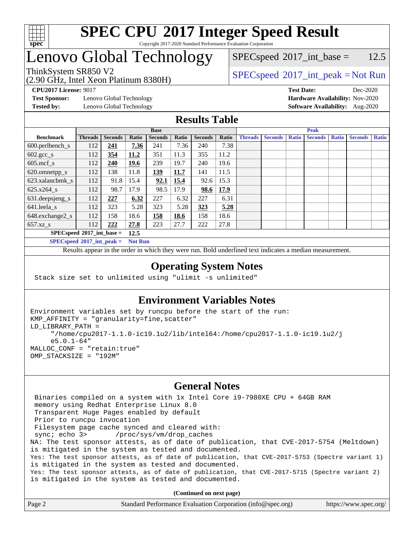

## Lenovo Global Technology

(2.90 GHz, Intel Xeon Platinum 8380H)

 $SPEC speed^{\circ}2017\_int\_base = 12.5$ 

### ThinkSystem SR850 V2  $SPECspeed^{\circ}2017\_int\_peak = Not Run$  $SPECspeed^{\circ}2017\_int\_peak = Not Run$

**[CPU2017 License:](http://www.spec.org/auto/cpu2017/Docs/result-fields.html#CPU2017License)** 9017 **[Test Date:](http://www.spec.org/auto/cpu2017/Docs/result-fields.html#TestDate)** Dec-2020

**[Test Sponsor:](http://www.spec.org/auto/cpu2017/Docs/result-fields.html#TestSponsor)** Lenovo Global Technology **[Hardware Availability:](http://www.spec.org/auto/cpu2017/Docs/result-fields.html#HardwareAvailability)** Nov-2020

**[Tested by:](http://www.spec.org/auto/cpu2017/Docs/result-fields.html#Testedby)** Lenovo Global Technology **[Software Availability:](http://www.spec.org/auto/cpu2017/Docs/result-fields.html#SoftwareAvailability)** Aug-2020

#### **[Results Table](http://www.spec.org/auto/cpu2017/Docs/result-fields.html#ResultsTable)**

| <b>Base</b>                 |                |                |       |                | <b>Peak</b> |                |       |                                                                                    |  |  |                |              |  |  |
|-----------------------------|----------------|----------------|-------|----------------|-------------|----------------|-------|------------------------------------------------------------------------------------|--|--|----------------|--------------|--|--|
| <b>Benchmark</b>            | <b>Threads</b> | <b>Seconds</b> | Ratio | <b>Seconds</b> | Ratio       | <b>Seconds</b> | Ratio | <b>Threads</b><br><b>Seconds</b><br><b>Ratio</b><br><b>Seconds</b><br><b>Ratio</b> |  |  | <b>Seconds</b> | <b>Ratio</b> |  |  |
| $600.$ perlbench_s          | 112            | 241            | 7.36  | 241            | 7.36        | 240            | 7.38  |                                                                                    |  |  |                |              |  |  |
| $602.\text{gcc}\_\text{s}$  | 112            | 354            | 11.2  | 351            | 11.3        | 355            | 11.2  |                                                                                    |  |  |                |              |  |  |
| $605$ .mcf s                | 112            | 240            | 19.6  | 239            | 19.7        | 240            | 19.6  |                                                                                    |  |  |                |              |  |  |
| 620.omnetpp_s               | 112            | 138            | 11.8  | <u>139</u>     | 11.7        | 141            | 11.5  |                                                                                    |  |  |                |              |  |  |
| 623.xalancbmk s             | 112            | 91.8           | 15.4  | 92.1           | 15.4        | 92.6           | 15.3  |                                                                                    |  |  |                |              |  |  |
| $625.x264$ s                | 112            | 98.7           | 17.9  | 98.5           | 17.9        | 98.6           | 17.9  |                                                                                    |  |  |                |              |  |  |
| 631.deepsjeng_s             | 112            | 227            | 6.32  | 227            | 6.32        | 227            | 6.31  |                                                                                    |  |  |                |              |  |  |
| 641.leela s                 | 112            | 323            | 5.28  | 323            | 5.28        | 323            | 5.28  |                                                                                    |  |  |                |              |  |  |
| 648.exchange2_s             | 112            | 158            | 18.6  | 158            | 18.6        | 158            | 18.6  |                                                                                    |  |  |                |              |  |  |
| $657.xz$ s                  | 112            | 222            | 27.8  | 223            | 27.7        | 222            | 27.8  |                                                                                    |  |  |                |              |  |  |
| $SPECspeed*2017$ int base = |                |                | 12.5  |                |             |                |       |                                                                                    |  |  |                |              |  |  |

**[SPECspeed](http://www.spec.org/auto/cpu2017/Docs/result-fields.html#SPECspeed2017intpeak)[2017\\_int\\_peak =](http://www.spec.org/auto/cpu2017/Docs/result-fields.html#SPECspeed2017intpeak) Not Run**

Results appear in the [order in which they were run.](http://www.spec.org/auto/cpu2017/Docs/result-fields.html#RunOrder) Bold underlined text [indicates a median measurement.](http://www.spec.org/auto/cpu2017/Docs/result-fields.html#Median)

#### **[Operating System Notes](http://www.spec.org/auto/cpu2017/Docs/result-fields.html#OperatingSystemNotes)**

Stack size set to unlimited using "ulimit -s unlimited"

#### **[Environment Variables Notes](http://www.spec.org/auto/cpu2017/Docs/result-fields.html#EnvironmentVariablesNotes)**

```
Environment variables set by runcpu before the start of the run:
KMP_AFFINITY = "granularity=fine,scatter"
LD_LIBRARY_PATH =
      "/home/cpu2017-1.1.0-ic19.1u2/lib/intel64:/home/cpu2017-1.1.0-ic19.1u2/j
      e5.0.1-64"
MALLOC_CONF = "retain:true"
OMP_STACKSIZE = "192M"
```
#### **[General Notes](http://www.spec.org/auto/cpu2017/Docs/result-fields.html#GeneralNotes)**

 Binaries compiled on a system with 1x Intel Core i9-7980XE CPU + 64GB RAM memory using Redhat Enterprise Linux 8.0 Transparent Huge Pages enabled by default Prior to runcpu invocation Filesystem page cache synced and cleared with: sync; echo 3> /proc/sys/vm/drop\_caches NA: The test sponsor attests, as of date of publication, that CVE-2017-5754 (Meltdown) is mitigated in the system as tested and documented. Yes: The test sponsor attests, as of date of publication, that CVE-2017-5753 (Spectre variant 1) is mitigated in the system as tested and documented. Yes: The test sponsor attests, as of date of publication, that CVE-2017-5715 (Spectre variant 2) is mitigated in the system as tested and documented.

**(Continued on next page)**

| Page 2 | Standard Performance Evaluation Corporation (info@spec.org) | https://www.spec.org/ |
|--------|-------------------------------------------------------------|-----------------------|
|--------|-------------------------------------------------------------|-----------------------|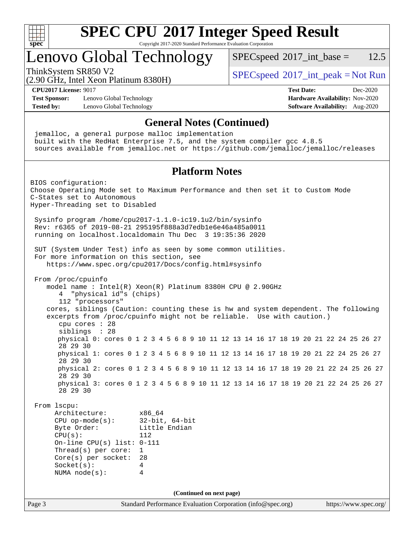

## Lenovo Global Technology

 $SPEC speed^{\circ}2017\_int\_base = 12.5$ 

(2.90 GHz, Intel Xeon Platinum 8380H)

ThinkSystem SR850 V2  $SPECspeed^{\circ}2017\_int\_peak = Not Run$  $SPECspeed^{\circ}2017\_int\_peak = Not Run$ 

**[Test Sponsor:](http://www.spec.org/auto/cpu2017/Docs/result-fields.html#TestSponsor)** Lenovo Global Technology **[Hardware Availability:](http://www.spec.org/auto/cpu2017/Docs/result-fields.html#HardwareAvailability)** Nov-2020 **[Tested by:](http://www.spec.org/auto/cpu2017/Docs/result-fields.html#Testedby)** Lenovo Global Technology **[Software Availability:](http://www.spec.org/auto/cpu2017/Docs/result-fields.html#SoftwareAvailability)** Aug-2020

# **[CPU2017 License:](http://www.spec.org/auto/cpu2017/Docs/result-fields.html#CPU2017License)** 9017 **[Test Date:](http://www.spec.org/auto/cpu2017/Docs/result-fields.html#TestDate)** Dec-2020

#### **[General Notes \(Continued\)](http://www.spec.org/auto/cpu2017/Docs/result-fields.html#GeneralNotes)**

 jemalloc, a general purpose malloc implementation built with the RedHat Enterprise 7.5, and the system compiler gcc 4.8.5 sources available from jemalloc.net or <https://github.com/jemalloc/jemalloc/releases>

#### **[Platform Notes](http://www.spec.org/auto/cpu2017/Docs/result-fields.html#PlatformNotes)**

Page 3 Standard Performance Evaluation Corporation [\(info@spec.org\)](mailto:info@spec.org) <https://www.spec.org/> BIOS configuration: Choose Operating Mode set to Maximum Performance and then set it to Custom Mode C-States set to Autonomous Hyper-Threading set to Disabled Sysinfo program /home/cpu2017-1.1.0-ic19.1u2/bin/sysinfo Rev: r6365 of 2019-08-21 295195f888a3d7edb1e6e46a485a0011 running on localhost.localdomain Thu Dec 3 19:35:36 2020 SUT (System Under Test) info as seen by some common utilities. For more information on this section, see <https://www.spec.org/cpu2017/Docs/config.html#sysinfo> From /proc/cpuinfo model name : Intel(R) Xeon(R) Platinum 8380H CPU @ 2.90GHz 4 "physical id"s (chips) 112 "processors" cores, siblings (Caution: counting these is hw and system dependent. The following excerpts from /proc/cpuinfo might not be reliable. Use with caution.) cpu cores : 28 siblings : 28 physical 0: cores 0 1 2 3 4 5 6 8 9 10 11 12 13 14 16 17 18 19 20 21 22 24 25 26 27 28 29 30 physical 1: cores 0 1 2 3 4 5 6 8 9 10 11 12 13 14 16 17 18 19 20 21 22 24 25 26 27 28 29 30 physical 2: cores 0 1 2 3 4 5 6 8 9 10 11 12 13 14 16 17 18 19 20 21 22 24 25 26 27 28 29 30 physical 3: cores 0 1 2 3 4 5 6 8 9 10 11 12 13 14 16 17 18 19 20 21 22 24 25 26 27 28 29 30 From lscpu: Architecture: x86\_64 CPU op-mode(s): 32-bit, 64-bit Byte Order: Little Endian CPU(s): 112 On-line CPU(s) list: 0-111 Thread(s) per core: 1 Core(s) per socket: 28 Socket(s): 4 NUMA node(s): 4 **(Continued on next page)**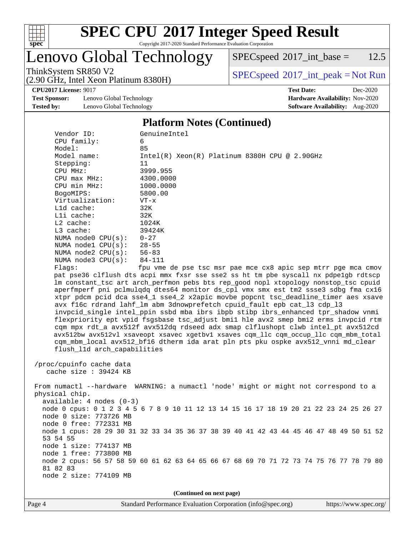

## **[SPEC CPU](http://www.spec.org/auto/cpu2017/Docs/result-fields.html#SPECCPU2017IntegerSpeedResult)[2017 Integer Speed Result](http://www.spec.org/auto/cpu2017/Docs/result-fields.html#SPECCPU2017IntegerSpeedResult)**

Copyright 2017-2020 Standard Performance Evaluation Corporation

## Lenovo Global Technology

(2.90 GHz, Intel Xeon Platinum 8380H)

 $SPECspeed^{\circledcirc}2017\_int\_base = 12.5$  $SPECspeed^{\circledcirc}2017\_int\_base = 12.5$ 

ThinkSystem SR850 V2<br>  $(2.90 \text{ GHz, Intel Yoon Plutium } 8380 \text{ V})$  [SPECspeed](http://www.spec.org/auto/cpu2017/Docs/result-fields.html#SPECspeed2017intpeak)<sup>®</sup>[2017\\_int\\_peak = N](http://www.spec.org/auto/cpu2017/Docs/result-fields.html#SPECspeed2017intpeak)ot Run

**[Test Sponsor:](http://www.spec.org/auto/cpu2017/Docs/result-fields.html#TestSponsor)** Lenovo Global Technology **[Hardware Availability:](http://www.spec.org/auto/cpu2017/Docs/result-fields.html#HardwareAvailability)** Nov-2020 **[Tested by:](http://www.spec.org/auto/cpu2017/Docs/result-fields.html#Testedby)** Lenovo Global Technology **[Software Availability:](http://www.spec.org/auto/cpu2017/Docs/result-fields.html#SoftwareAvailability)** Aug-2020

**[CPU2017 License:](http://www.spec.org/auto/cpu2017/Docs/result-fields.html#CPU2017License)** 9017 **[Test Date:](http://www.spec.org/auto/cpu2017/Docs/result-fields.html#TestDate)** Dec-2020

#### **[Platform Notes \(Continued\)](http://www.spec.org/auto/cpu2017/Docs/result-fields.html#PlatformNotes)**

| Vendor ID:                  | GenuineIntel                                                                            |
|-----------------------------|-----------------------------------------------------------------------------------------|
| CPU family:                 | 6                                                                                       |
| Model:                      | 85                                                                                      |
| Model name:                 | $Intel(R) Xeon(R) Platinum 8380H CPU @ 2.90GHz$                                         |
| Stepping:                   | 11                                                                                      |
| CPU MHz:                    | 3999.955                                                                                |
| CPU max MHz:                | 4300.0000                                                                               |
| CPU min MHz:                | 1000.0000                                                                               |
| BogoMIPS:                   | 5800.00                                                                                 |
| Virtualization:             | $VT - x$                                                                                |
| L1d cache:                  | 32K                                                                                     |
| Lli cache:                  | 32K                                                                                     |
| $L2$ cache:                 | 1024K                                                                                   |
| $L3$ cache:                 | 39424K                                                                                  |
| NUMA $node0$ $CPU(s)$ :     | $0 - 27$                                                                                |
| NUMA nodel CPU(s):          | $28 - 55$                                                                               |
| NUMA $node2$ $CPU(s):$      | $56 - 83$                                                                               |
| NUMA node3 CPU(s):          | $84 - 111$                                                                              |
| Flags:                      | fpu vme de pse tsc msr pae mce cx8 apic sep mtrr pge mca cmov                           |
|                             | pat pse36 clflush dts acpi mmx fxsr sse sse2 ss ht tm pbe syscall nx pdpelgb rdtscp     |
|                             | lm constant_tsc art arch_perfmon pebs bts rep_good nopl xtopology nonstop_tsc cpuid     |
|                             | aperfmperf pni pclmulqdq dtes64 monitor ds_cpl vmx smx est tm2 ssse3 sdbg fma cx16      |
|                             | xtpr pdcm pcid dca sse4_1 sse4_2 x2apic movbe popcnt tsc_deadline_timer aes xsave       |
|                             | avx f16c rdrand lahf_lm abm 3dnowprefetch cpuid_fault epb cat_13 cdp_13                 |
|                             | invpcid_single intel_ppin ssbd mba ibrs ibpb stibp ibrs_enhanced tpr_shadow vnmi        |
|                             | flexpriority ept vpid fsgsbase tsc_adjust bmil hle avx2 smep bmi2 erms invpcid rtm      |
|                             | cqm mpx rdt_a avx512f avx512dq rdseed adx smap clflushopt clwb intel_pt avx512cd        |
|                             | avx512bw avx512vl xsaveopt xsavec xgetbvl xsaves cqm_llc cqm_occup_llc cqm_mbm_total    |
|                             | cqm_mbm_local avx512_bf16 dtherm ida arat pln pts pku ospke avx512_vnni md_clear        |
|                             |                                                                                         |
| flush_lld arch_capabilities |                                                                                         |
|                             |                                                                                         |
| /proc/cpuinfo cache data    |                                                                                         |
| cache size $: 39424$ KB     |                                                                                         |
|                             |                                                                                         |
|                             | From numactl --hardware WARNING: a numactl 'node' might or might not correspond to a    |
| physical chip.              |                                                                                         |
| $available: 4 nodes (0-3)$  |                                                                                         |
|                             | node 0 cpus: 0 1 2 3 4 5 6 7 8 9 10 11 12 13 14 15 16 17 18 19 20 21 22 23 24 25 26 27  |
| node 0 size: 773726 MB      |                                                                                         |
| node 0 free: 772331 MB      |                                                                                         |
|                             | node 1 cpus: 28 29 30 31 32 33 34 35 36 37 38 39 40 41 42 43 44 45 46 47 48 49 50 51 52 |
| 53 54 55                    |                                                                                         |
| node 1 size: 774137 MB      |                                                                                         |
| node 1 free: 773800 MB      |                                                                                         |
|                             | node 2 cpus: 56 57 58 59 60 61 62 63 64 65 66 67 68 69 70 71 72 73 74 75 76 77 78 79 80 |
| 81 82 83                    |                                                                                         |

**(Continued on next page)**

node 2 size: 774109 MB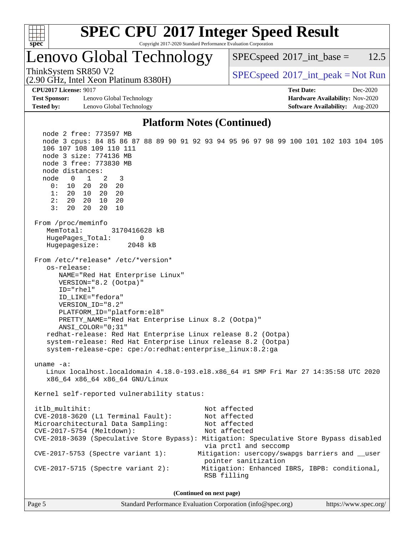

## **[SPEC CPU](http://www.spec.org/auto/cpu2017/Docs/result-fields.html#SPECCPU2017IntegerSpeedResult)[2017 Integer Speed Result](http://www.spec.org/auto/cpu2017/Docs/result-fields.html#SPECCPU2017IntegerSpeedResult)**

Copyright 2017-2020 Standard Performance Evaluation Corporation

## Lenovo Global Technology

(2.90 GHz, Intel Xeon Platinum 8380H)

 $SPEC speed^{\circ}2017\_int\_base = 12.5$ 

ThinkSystem SR850 V2  $SPECspeed^{\circ}2017\_int\_peak = Not Run$  $SPECspeed^{\circ}2017\_int\_peak = Not Run$ 

**[Test Sponsor:](http://www.spec.org/auto/cpu2017/Docs/result-fields.html#TestSponsor)** Lenovo Global Technology **[Hardware Availability:](http://www.spec.org/auto/cpu2017/Docs/result-fields.html#HardwareAvailability)** Nov-2020 **[Tested by:](http://www.spec.org/auto/cpu2017/Docs/result-fields.html#Testedby)** Lenovo Global Technology **[Software Availability:](http://www.spec.org/auto/cpu2017/Docs/result-fields.html#SoftwareAvailability)** Aug-2020

**[CPU2017 License:](http://www.spec.org/auto/cpu2017/Docs/result-fields.html#CPU2017License)** 9017 **[Test Date:](http://www.spec.org/auto/cpu2017/Docs/result-fields.html#TestDate)** Dec-2020

#### **[Platform Notes \(Continued\)](http://www.spec.org/auto/cpu2017/Docs/result-fields.html#PlatformNotes)**

 node 2 free: 773597 MB node 3 cpus: 84 85 86 87 88 89 90 91 92 93 94 95 96 97 98 99 100 101 102 103 104 105 106 107 108 109 110 111 node 3 size: 774136 MB node 3 free: 773830 MB node distances: node 0 1 2 3 0: 10 20 20 20 1: 20 10 20 20 2: 20 20 10 20 3: 20 20 20 10 From /proc/meminfo MemTotal: 3170416628 kB HugePages\_Total: 0 Hugepagesize: 2048 kB From /etc/\*release\* /etc/\*version\* os-release: NAME="Red Hat Enterprise Linux" VERSION="8.2 (Ootpa)" ID="rhel" ID\_LIKE="fedora" VERSION\_ID="8.2" PLATFORM\_ID="platform:el8" PRETTY\_NAME="Red Hat Enterprise Linux 8.2 (Ootpa)" ANSI\_COLOR="0;31" redhat-release: Red Hat Enterprise Linux release 8.2 (Ootpa) system-release: Red Hat Enterprise Linux release 8.2 (Ootpa) system-release-cpe: cpe:/o:redhat:enterprise\_linux:8.2:ga uname -a: Linux localhost.localdomain 4.18.0-193.el8.x86\_64 #1 SMP Fri Mar 27 14:35:58 UTC 2020 x86\_64 x86\_64 x86\_64 GNU/Linux Kernel self-reported vulnerability status: itlb\_multihit: Not affected CVE-2018-3620 (L1 Terminal Fault): Not affected Microarchitectural Data Sampling: Not affected CVE-2017-5754 (Meltdown): Not affected CVE-2018-3639 (Speculative Store Bypass): Mitigation: Speculative Store Bypass disabled via prctl and seccomp CVE-2017-5753 (Spectre variant 1): Mitigation: usercopy/swapgs barriers and \_\_user pointer sanitization CVE-2017-5715 (Spectre variant 2): Mitigation: Enhanced IBRS, IBPB: conditional, RSB filling

**(Continued on next page)**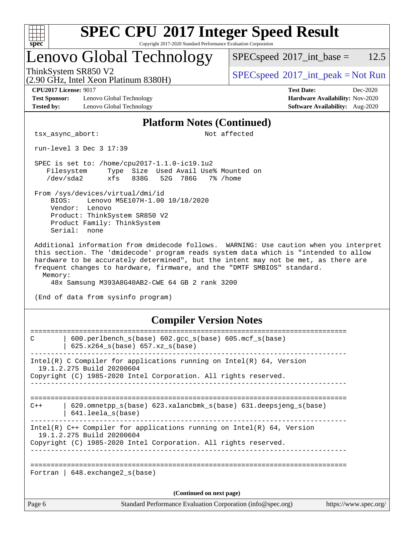

## **[SPEC CPU](http://www.spec.org/auto/cpu2017/Docs/result-fields.html#SPECCPU2017IntegerSpeedResult)[2017 Integer Speed Result](http://www.spec.org/auto/cpu2017/Docs/result-fields.html#SPECCPU2017IntegerSpeedResult)**

Copyright 2017-2020 Standard Performance Evaluation Corporation

## Lenovo Global Technology

 $SPEC speed^{\circ}2017\_int\_base = 12.5$ 

(2.90 GHz, Intel Xeon Platinum 8380H)

**[Test Sponsor:](http://www.spec.org/auto/cpu2017/Docs/result-fields.html#TestSponsor)** Lenovo Global Technology **[Hardware Availability:](http://www.spec.org/auto/cpu2017/Docs/result-fields.html#HardwareAvailability)** Nov-2020 **[Tested by:](http://www.spec.org/auto/cpu2017/Docs/result-fields.html#Testedby)** Lenovo Global Technology **[Software Availability:](http://www.spec.org/auto/cpu2017/Docs/result-fields.html#SoftwareAvailability)** Aug-2020

ThinkSystem SR850 V2  $\begin{array}{c} \text{SPEC speed} \textdegree 2017\_int\_peak = Not Run \end{array}$ 

**[CPU2017 License:](http://www.spec.org/auto/cpu2017/Docs/result-fields.html#CPU2017License)** 9017 **[Test Date:](http://www.spec.org/auto/cpu2017/Docs/result-fields.html#TestDate)** Dec-2020

#### **[Platform Notes \(Continued\)](http://www.spec.org/auto/cpu2017/Docs/result-fields.html#PlatformNotes)**

tsx\_async\_abort: Not affected

run-level 3 Dec 3 17:39

 SPEC is set to: /home/cpu2017-1.1.0-ic19.1u2 Filesystem Type Size Used Avail Use% Mounted on /dev/sda2 xfs 838G 52G 786G 7% /home

 From /sys/devices/virtual/dmi/id BIOS: Lenovo M5E107H-1.00 10/18/2020 Vendor: Lenovo Product: ThinkSystem SR850 V2 Product Family: ThinkSystem Serial: none

 Additional information from dmidecode follows. WARNING: Use caution when you interpret this section. The 'dmidecode' program reads system data which is "intended to allow hardware to be accurately determined", but the intent may not be met, as there are frequent changes to hardware, firmware, and the "DMTF SMBIOS" standard. Memory:

48x Samsung M393A8G40AB2-CWE 64 GB 2 rank 3200

(End of data from sysinfo program)

#### **[Compiler Version Notes](http://www.spec.org/auto/cpu2017/Docs/result-fields.html#CompilerVersionNotes)**

| Page 6 | Standard Performance Evaluation Corporation (info@spec.org)                                                                                                              | https://www.spec.org/ |
|--------|--------------------------------------------------------------------------------------------------------------------------------------------------------------------------|-----------------------|
|        | (Continued on next page)                                                                                                                                                 |                       |
|        | Fortran   $648$ . exchange2 $s(base)$                                                                                                                                    |                       |
|        | Intel(R) $C++$ Compiler for applications running on Intel(R) 64, Version<br>19.1.2.275 Build 20200604<br>Copyright (C) 1985-2020 Intel Corporation. All rights reserved. |                       |
| $C++$  | $620$ .omnetpp $s(base)$ 623.xalancbmk $s(base)$ 631.deepsjeng $s(base)$<br>$641.$ leela $s(base)$                                                                       |                       |
|        | Intel(R) C Compiler for applications running on Intel(R) $64$ , Version<br>19.1.2.275 Build 20200604<br>Copyright (C) 1985-2020 Intel Corporation. All rights reserved.  |                       |
| C      | 600.perlbench_s(base) 602.gcc_s(base) 605.mcf_s(base)<br>625.x264 s(base) 657.xz s(base)                                                                                 |                       |
|        |                                                                                                                                                                          |                       |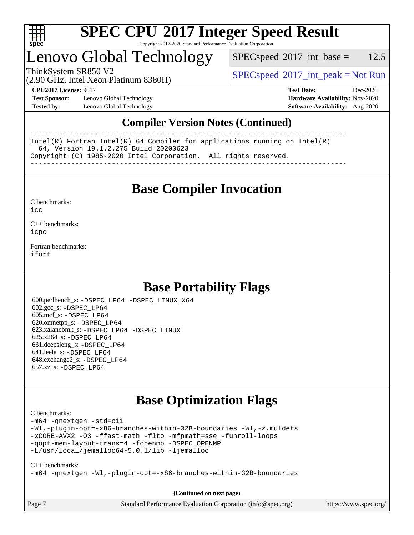

### Lenovo Global Technology

 $SPECspeed^{\circ}2017\_int\_base = 12.5$  $SPECspeed^{\circ}2017\_int\_base = 12.5$ 

(2.90 GHz, Intel Xeon Platinum 8380H)

ThinkSystem SR850 V2  $\begin{array}{c} \text{SPEC speed} \textdegree 2017\_int\_peak = Not Run \end{array}$ 

**[Test Sponsor:](http://www.spec.org/auto/cpu2017/Docs/result-fields.html#TestSponsor)** Lenovo Global Technology **[Hardware Availability:](http://www.spec.org/auto/cpu2017/Docs/result-fields.html#HardwareAvailability)** Nov-2020 **[Tested by:](http://www.spec.org/auto/cpu2017/Docs/result-fields.html#Testedby)** Lenovo Global Technology **[Software Availability:](http://www.spec.org/auto/cpu2017/Docs/result-fields.html#SoftwareAvailability)** Aug-2020

**[CPU2017 License:](http://www.spec.org/auto/cpu2017/Docs/result-fields.html#CPU2017License)** 9017 **[Test Date:](http://www.spec.org/auto/cpu2017/Docs/result-fields.html#TestDate)** Dec-2020

#### **[Compiler Version Notes \(Continued\)](http://www.spec.org/auto/cpu2017/Docs/result-fields.html#CompilerVersionNotes)**

------------------------------------------------------------------------------ Intel(R) Fortran Intel(R) 64 Compiler for applications running on Intel(R) 64, Version 19.1.2.275 Build 20200623 Copyright (C) 1985-2020 Intel Corporation. All rights reserved. ------------------------------------------------------------------------------

**[Base Compiler Invocation](http://www.spec.org/auto/cpu2017/Docs/result-fields.html#BaseCompilerInvocation)**

[C benchmarks](http://www.spec.org/auto/cpu2017/Docs/result-fields.html#Cbenchmarks):  $i$ cc

[C++ benchmarks:](http://www.spec.org/auto/cpu2017/Docs/result-fields.html#CXXbenchmarks) [icpc](http://www.spec.org/cpu2017/results/res2020q4/cpu2017-20201207-24526.flags.html#user_CXXbase_intel_icpc_c510b6838c7f56d33e37e94d029a35b4a7bccf4766a728ee175e80a419847e808290a9b78be685c44ab727ea267ec2f070ec5dc83b407c0218cded6866a35d07)

[Fortran benchmarks](http://www.spec.org/auto/cpu2017/Docs/result-fields.html#Fortranbenchmarks): [ifort](http://www.spec.org/cpu2017/results/res2020q4/cpu2017-20201207-24526.flags.html#user_FCbase_intel_ifort_8111460550e3ca792625aed983ce982f94888b8b503583aa7ba2b8303487b4d8a21a13e7191a45c5fd58ff318f48f9492884d4413fa793fd88dd292cad7027ca)

### **[Base Portability Flags](http://www.spec.org/auto/cpu2017/Docs/result-fields.html#BasePortabilityFlags)**

 600.perlbench\_s: [-DSPEC\\_LP64](http://www.spec.org/cpu2017/results/res2020q4/cpu2017-20201207-24526.flags.html#b600.perlbench_s_basePORTABILITY_DSPEC_LP64) [-DSPEC\\_LINUX\\_X64](http://www.spec.org/cpu2017/results/res2020q4/cpu2017-20201207-24526.flags.html#b600.perlbench_s_baseCPORTABILITY_DSPEC_LINUX_X64) 602.gcc\_s: [-DSPEC\\_LP64](http://www.spec.org/cpu2017/results/res2020q4/cpu2017-20201207-24526.flags.html#suite_basePORTABILITY602_gcc_s_DSPEC_LP64) 605.mcf\_s: [-DSPEC\\_LP64](http://www.spec.org/cpu2017/results/res2020q4/cpu2017-20201207-24526.flags.html#suite_basePORTABILITY605_mcf_s_DSPEC_LP64) 620.omnetpp\_s: [-DSPEC\\_LP64](http://www.spec.org/cpu2017/results/res2020q4/cpu2017-20201207-24526.flags.html#suite_basePORTABILITY620_omnetpp_s_DSPEC_LP64) 623.xalancbmk\_s: [-DSPEC\\_LP64](http://www.spec.org/cpu2017/results/res2020q4/cpu2017-20201207-24526.flags.html#suite_basePORTABILITY623_xalancbmk_s_DSPEC_LP64) [-DSPEC\\_LINUX](http://www.spec.org/cpu2017/results/res2020q4/cpu2017-20201207-24526.flags.html#b623.xalancbmk_s_baseCXXPORTABILITY_DSPEC_LINUX) 625.x264\_s: [-DSPEC\\_LP64](http://www.spec.org/cpu2017/results/res2020q4/cpu2017-20201207-24526.flags.html#suite_basePORTABILITY625_x264_s_DSPEC_LP64) 631.deepsjeng\_s: [-DSPEC\\_LP64](http://www.spec.org/cpu2017/results/res2020q4/cpu2017-20201207-24526.flags.html#suite_basePORTABILITY631_deepsjeng_s_DSPEC_LP64) 641.leela\_s: [-DSPEC\\_LP64](http://www.spec.org/cpu2017/results/res2020q4/cpu2017-20201207-24526.flags.html#suite_basePORTABILITY641_leela_s_DSPEC_LP64) 648.exchange2\_s: [-DSPEC\\_LP64](http://www.spec.org/cpu2017/results/res2020q4/cpu2017-20201207-24526.flags.html#suite_basePORTABILITY648_exchange2_s_DSPEC_LP64) 657.xz\_s: [-DSPEC\\_LP64](http://www.spec.org/cpu2017/results/res2020q4/cpu2017-20201207-24526.flags.html#suite_basePORTABILITY657_xz_s_DSPEC_LP64)

### **[Base Optimization Flags](http://www.spec.org/auto/cpu2017/Docs/result-fields.html#BaseOptimizationFlags)**

[C benchmarks](http://www.spec.org/auto/cpu2017/Docs/result-fields.html#Cbenchmarks):

[-m64](http://www.spec.org/cpu2017/results/res2020q4/cpu2017-20201207-24526.flags.html#user_CCbase_m64-icc) [-qnextgen](http://www.spec.org/cpu2017/results/res2020q4/cpu2017-20201207-24526.flags.html#user_CCbase_f-qnextgen) [-std=c11](http://www.spec.org/cpu2017/results/res2020q4/cpu2017-20201207-24526.flags.html#user_CCbase_std-icc-std_0e1c27790398a4642dfca32ffe6c27b5796f9c2d2676156f2e42c9c44eaad0c049b1cdb667a270c34d979996257aeb8fc440bfb01818dbc9357bd9d174cb8524) [-Wl,-plugin-opt=-x86-branches-within-32B-boundaries](http://www.spec.org/cpu2017/results/res2020q4/cpu2017-20201207-24526.flags.html#user_CCbase_f-x86-branches-within-32B-boundaries_0098b4e4317ae60947b7b728078a624952a08ac37a3c797dfb4ffeb399e0c61a9dd0f2f44ce917e9361fb9076ccb15e7824594512dd315205382d84209e912f3) [-Wl,-z,muldefs](http://www.spec.org/cpu2017/results/res2020q4/cpu2017-20201207-24526.flags.html#user_CCbase_link_force_multiple1_b4cbdb97b34bdee9ceefcfe54f4c8ea74255f0b02a4b23e853cdb0e18eb4525ac79b5a88067c842dd0ee6996c24547a27a4b99331201badda8798ef8a743f577) [-xCORE-AVX2](http://www.spec.org/cpu2017/results/res2020q4/cpu2017-20201207-24526.flags.html#user_CCbase_f-xCORE-AVX2) [-O3](http://www.spec.org/cpu2017/results/res2020q4/cpu2017-20201207-24526.flags.html#user_CCbase_f-O3) [-ffast-math](http://www.spec.org/cpu2017/results/res2020q4/cpu2017-20201207-24526.flags.html#user_CCbase_f-ffast-math) [-flto](http://www.spec.org/cpu2017/results/res2020q4/cpu2017-20201207-24526.flags.html#user_CCbase_f-flto) [-mfpmath=sse](http://www.spec.org/cpu2017/results/res2020q4/cpu2017-20201207-24526.flags.html#user_CCbase_f-mfpmath_70eb8fac26bde974f8ab713bc9086c5621c0b8d2f6c86f38af0bd7062540daf19db5f3a066d8c6684be05d84c9b6322eb3b5be6619d967835195b93d6c02afa1) [-funroll-loops](http://www.spec.org/cpu2017/results/res2020q4/cpu2017-20201207-24526.flags.html#user_CCbase_f-funroll-loops) [-qopt-mem-layout-trans=4](http://www.spec.org/cpu2017/results/res2020q4/cpu2017-20201207-24526.flags.html#user_CCbase_f-qopt-mem-layout-trans_fa39e755916c150a61361b7846f310bcdf6f04e385ef281cadf3647acec3f0ae266d1a1d22d972a7087a248fd4e6ca390a3634700869573d231a252c784941a8) [-fopenmp](http://www.spec.org/cpu2017/results/res2020q4/cpu2017-20201207-24526.flags.html#user_CCbase_fopenmp_5aa2e47ce4f2ef030ba5d12d5a7a9c4e57167333d78243fcadb80b48d5abb78ff19333f8478e0b2a41e63049eb285965c145ccab7b93db7d0c4d59e4dc6f5591) [-DSPEC\\_OPENMP](http://www.spec.org/cpu2017/results/res2020q4/cpu2017-20201207-24526.flags.html#suite_CCbase_DSPEC_OPENMP) [-L/usr/local/jemalloc64-5.0.1/lib](http://www.spec.org/cpu2017/results/res2020q4/cpu2017-20201207-24526.flags.html#user_CCbase_jemalloc_link_path64_1_cc289568b1a6c0fd3b62c91b824c27fcb5af5e8098e6ad028160d21144ef1b8aef3170d2acf0bee98a8da324cfe4f67d0a3d0c4cc4673d993d694dc2a0df248b) [-ljemalloc](http://www.spec.org/cpu2017/results/res2020q4/cpu2017-20201207-24526.flags.html#user_CCbase_jemalloc_link_lib_d1249b907c500fa1c0672f44f562e3d0f79738ae9e3c4a9c376d49f265a04b9c99b167ecedbf6711b3085be911c67ff61f150a17b3472be731631ba4d0471706)

#### [C++ benchmarks:](http://www.spec.org/auto/cpu2017/Docs/result-fields.html#CXXbenchmarks)

[-m64](http://www.spec.org/cpu2017/results/res2020q4/cpu2017-20201207-24526.flags.html#user_CXXbase_m64-icc) [-qnextgen](http://www.spec.org/cpu2017/results/res2020q4/cpu2017-20201207-24526.flags.html#user_CXXbase_f-qnextgen) [-Wl,-plugin-opt=-x86-branches-within-32B-boundaries](http://www.spec.org/cpu2017/results/res2020q4/cpu2017-20201207-24526.flags.html#user_CXXbase_f-x86-branches-within-32B-boundaries_0098b4e4317ae60947b7b728078a624952a08ac37a3c797dfb4ffeb399e0c61a9dd0f2f44ce917e9361fb9076ccb15e7824594512dd315205382d84209e912f3)

**(Continued on next page)**

| Page 7<br>Standard Performance Evaluation Corporation (info@spec.org)<br>https://www.spec.org/ |
|------------------------------------------------------------------------------------------------|
|------------------------------------------------------------------------------------------------|